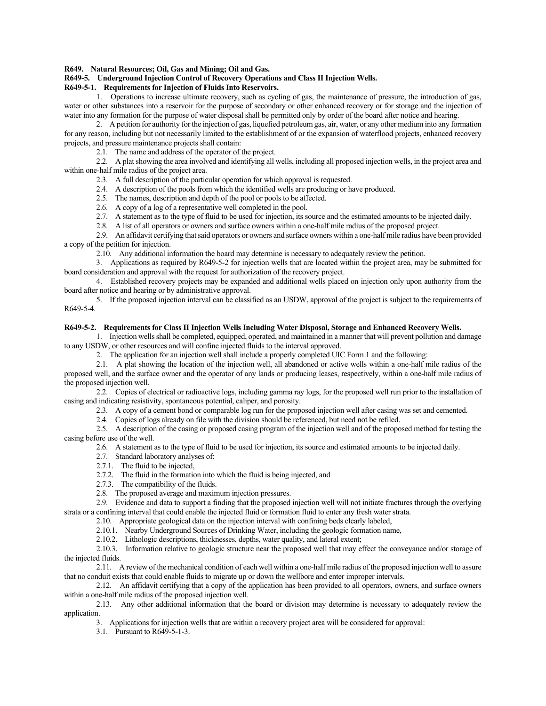### **R649. Natural Resources; Oil, Gas and Mining; Oil and Gas.**

## **R649-5. Underground Injection Control of Recovery Operations and Class II Injection Wells.**

# **R649-5-1. Requirements for Injection of Fluids Into Reservoirs.**

1. Operations to increase ultimate recovery, such as cycling of gas, the maintenance of pressure, the introduction of gas, water or other substances into a reservoir for the purpose of secondary or other enhanced recovery or for storage and the injection of water into any formation for the purpose of water disposal shall be permitted only by order of the board after notice and hearing.

2. A petition for authority for the injection of gas, liquefied petroleum gas, air, water, or any other medium into any formation for any reason, including but not necessarily limited to the establishment of or the expansion of waterflood projects, enhanced recovery projects, and pressure maintenance projects shall contain:

2.1. The name and address of the operator of the project.

2.2. A plat showing the area involved and identifying all wells, including all proposed injection wells, in the project area and within one-half mile radius of the project area.

2.3. A full description of the particular operation for which approval is requested.

2.4. A description of the pools from which the identified wells are producing or have produced.

2.5. The names, description and depth of the pool or pools to be affected.

2.6. A copy of a log of a representative well completed in the pool.

2.7. A statement as to the type of fluid to be used for injection, its source and the estimated amounts to be injected daily.

2.8. A list of all operators or owners and surface owners within a one-half mile radius of the proposed project.

2.9. An affidavit certifying that said operators or owners and surface owners within a one-half mile radius have been provided a copy of the petition for injection.

2.10. Any additional information the board may determine is necessary to adequately review the petition.

3. Applications as required by R649-5-2 for injection wells that are located within the project area, may be submitted for board consideration and approval with the request for authorization of the recovery project.

4. Established recovery projects may be expanded and additional wells placed on injection only upon authority from the board after notice and hearing or by administrative approval.

5. If the proposed injection interval can be classified as an USDW, approval of the project is subject to the requirements of R649-5-4.

### **R649-5-2. Requirements for Class II Injection Wells Including Water Disposal, Storage and Enhanced Recovery Wells.**

1. Injection wells shall be completed, equipped, operated, and maintained in a manner that will prevent pollution and damage to any USDW, or other resources and will confine injected fluids to the interval approved.

2. The application for an injection well shall include a properly completed UIC Form 1 and the following:

2.1. A plat showing the location of the injection well, all abandoned or active wells within a one-half mile radius of the proposed well, and the surface owner and the operator of any lands or producing leases, respectively, within a one-half mile radius of the proposed injection well.

2.2. Copies of electrical or radioactive logs, including gamma ray logs, for the proposed well run prior to the installation of casing and indicating resistivity, spontaneous potential, caliper, and porosity.

2.3. A copy of a cement bond or comparable log run for the proposed injection well after casing was set and cemented.

2.4. Copies of logs already on file with the division should be referenced, but need not be refiled.

2.5. A description of the casing or proposed casing program of the injection well and of the proposed method for testing the casing before use of the well.

2.6. A statement as to the type of fluid to be used for injection, its source and estimated amounts to be injected daily.

2.7. Standard laboratory analyses of:

2.7.1. The fluid to be injected,

2.7.2. The fluid in the formation into which the fluid is being injected, and

2.7.3. The compatibility of the fluids.

2.8. The proposed average and maximum injection pressures.

2.9. Evidence and data to support a finding that the proposed injection well will not initiate fractures through the overlying strata or a confining interval that could enable the injected fluid or formation fluid to enter any fresh water strata.

2.10. Appropriate geological data on the injection interval with confining beds clearly labeled,

2.10.1. Nearby Underground Sources of Drinking Water, including the geologic formation name,

2.10.2. Lithologic descriptions, thicknesses, depths, water quality, and lateral extent;

2.10.3. Information relative to geologic structure near the proposed well that may effect the conveyance and/or storage of the injected fluids.

2.11. A review of the mechanical condition of each well within a one-half mile radius of the proposed injection well to assure that no conduit exists that could enable fluids to migrate up or down the wellbore and enter improper intervals.

2.12. An affidavit certifying that a copy of the application has been provided to all operators, owners, and surface owners within a one-half mile radius of the proposed injection well.

2.13. Any other additional information that the board or division may determine is necessary to adequately review the application.

3. Applications for injection wells that are within a recovery project area will be considered for approval:

3.1. Pursuant to R649-5-1-3.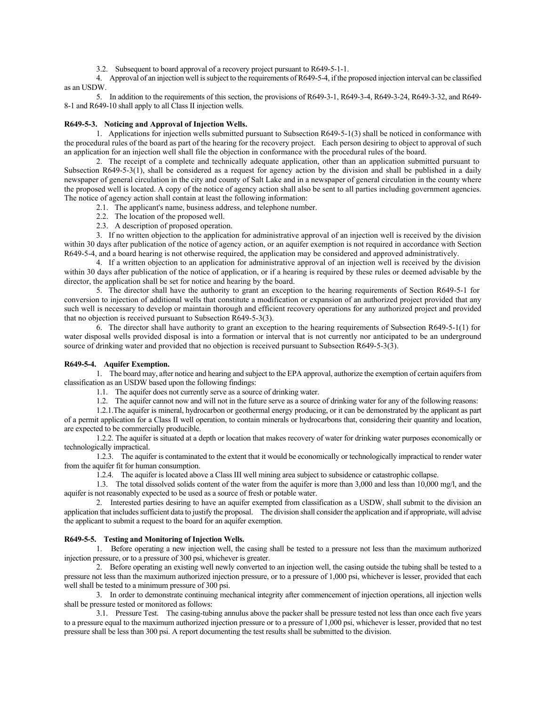3.2. Subsequent to board approval of a recovery project pursuant to R649-5-1-1.

4. Approval of an injection well is subject to the requirements of R649-5-4, if the proposed injection interval can be classified as an USDW.

5. In addition to the requirements of this section, the provisions of R649-3-1, R649-3-4, R649-3-24, R649-3-32, and R649- 8-1 and R649-10 shall apply to all Class II injection wells.

#### **R649-5-3. Noticing and Approval of Injection Wells.**

1. Applications for injection wells submitted pursuant to Subsection R649-5-1(3) shall be noticed in conformance with the procedural rules of the board as part of the hearing for the recovery project. Each person desiring to object to approval of such an application for an injection well shall file the objection in conformance with the procedural rules of the board.

2. The receipt of a complete and technically adequate application, other than an application submitted pursuant to Subsection R649-5-3(1), shall be considered as a request for agency action by the division and shall be published in a daily newspaper of general circulation in the city and county of Salt Lake and in a newspaper of general circulation in the county where the proposed well is located. A copy of the notice of agency action shall also be sent to all parties including government agencies. The notice of agency action shall contain at least the following information:

2.1. The applicant's name, business address, and telephone number.

- 2.2. The location of the proposed well.
- 2.3. A description of proposed operation.

3. If no written objection to the application for administrative approval of an injection well is received by the division within 30 days after publication of the notice of agency action, or an aquifer exemption is not required in accordance with Section R649-5-4, and a board hearing is not otherwise required, the application may be considered and approved administratively.

4. If a written objection to an application for administrative approval of an injection well is received by the division within 30 days after publication of the notice of application, or if a hearing is required by these rules or deemed advisable by the director, the application shall be set for notice and hearing by the board.

5. The director shall have the authority to grant an exception to the hearing requirements of Section R649-5-1 for conversion to injection of additional wells that constitute a modification or expansion of an authorized project provided that any such well is necessary to develop or maintain thorough and efficient recovery operations for any authorized project and provided that no objection is received pursuant to Subsection R649-5-3(3).

6. The director shall have authority to grant an exception to the hearing requirements of Subsection R649-5-1(1) for water disposal wells provided disposal is into a formation or interval that is not currently nor anticipated to be an underground source of drinking water and provided that no objection is received pursuant to Subsection R649-5-3(3).

#### **R649-5-4. Aquifer Exemption.**

1. The board may, after notice and hearing and subject to the EPA approval, authorize the exemption of certain aquifers from classification as an USDW based upon the following findings:

1.1. The aquifer does not currently serve as a source of drinking water.

1.2. The aquifer cannot now and will not in the future serve as a source of drinking water for any of the following reasons:

1.2.1.The aquifer is mineral, hydrocarbon or geothermal energy producing, or it can be demonstrated by the applicant as part of a permit application for a Class II well operation, to contain minerals or hydrocarbons that, considering their quantity and location, are expected to be commercially producible.

1.2.2. The aquifer is situated at a depth or location that makes recovery of water for drinking water purposes economically or technologically impractical.

1.2.3. The aquifer is contaminated to the extent that it would be economically or technologically impractical to render water from the aquifer fit for human consumption.

1.2.4. The aquifer is located above a Class III well mining area subject to subsidence or catastrophic collapse.

1.3. The total dissolved solids content of the water from the aquifer is more than 3,000 and less than 10,000 mg/l, and the aquifer is not reasonably expected to be used as a source of fresh or potable water.

2. Interested parties desiring to have an aquifer exempted from classification as a USDW, shall submit to the division an application that includes sufficient data to justify the proposal. The division shall consider the application and if appropriate, will advise the applicant to submit a request to the board for an aquifer exemption.

#### **R649-5-5. Testing and Monitoring of Injection Wells.**

1. Before operating a new injection well, the casing shall be tested to a pressure not less than the maximum authorized injection pressure, or to a pressure of 300 psi, whichever is greater.

2. Before operating an existing well newly converted to an injection well, the casing outside the tubing shall be tested to a pressure not less than the maximum authorized injection pressure, or to a pressure of 1,000 psi, whichever is lesser, provided that each well shall be tested to a minimum pressure of 300 psi.

3. In order to demonstrate continuing mechanical integrity after commencement of injection operations, all injection wells shall be pressure tested or monitored as follows:

3.1. Pressure Test. The casing-tubing annulus above the packer shall be pressure tested not less than once each five years to a pressure equal to the maximum authorized injection pressure or to a pressure of  $1,000$  psi, whichever is lesser, provided that no test pressure shall be less than 300 psi. A report documenting the test results shall be submitted to the division.